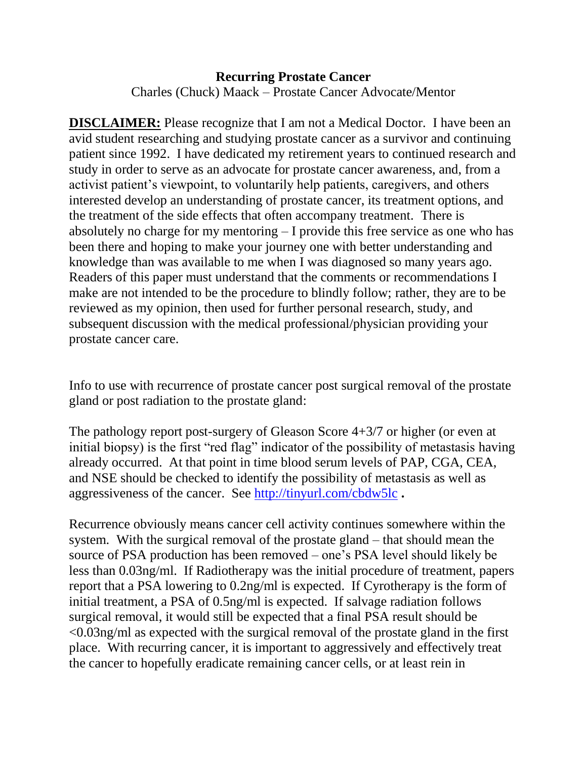## **Recurring Prostate Cancer** Charles (Chuck) Maack – Prostate Cancer Advocate/Mentor

**DISCLAIMER:** Please recognize that I am not a Medical Doctor. I have been an avid student researching and studying prostate cancer as a survivor and continuing patient since 1992. I have dedicated my retirement years to continued research and study in order to serve as an advocate for prostate cancer awareness, and, from a activist patient's viewpoint, to voluntarily help patients, caregivers, and others interested develop an understanding of prostate cancer, its treatment options, and the treatment of the side effects that often accompany treatment. There is absolutely no charge for my mentoring – I provide this free service as one who has been there and hoping to make your journey one with better understanding and knowledge than was available to me when I was diagnosed so many years ago. Readers of this paper must understand that the comments or recommendations I make are not intended to be the procedure to blindly follow; rather, they are to be reviewed as my opinion, then used for further personal research, study, and subsequent discussion with the medical professional/physician providing your prostate cancer care.

Info to use with recurrence of prostate cancer post surgical removal of the prostate gland or post radiation to the prostate gland:

The pathology report post-surgery of Gleason Score 4+3/7 or higher (or even at initial biopsy) is the first "red flag" indicator of the possibility of metastasis having already occurred. At that point in time blood serum levels of PAP, CGA, CEA, and NSE should be checked to identify the possibility of metastasis as well as aggressiveness of the cancer. See<http://tinyurl.com/cbdw5lc> **.**

Recurrence obviously means cancer cell activity continues somewhere within the system. With the surgical removal of the prostate gland – that should mean the source of PSA production has been removed – one's PSA level should likely be less than 0.03ng/ml. If Radiotherapy was the initial procedure of treatment, papers report that a PSA lowering to 0.2ng/ml is expected. If Cyrotherapy is the form of initial treatment, a PSA of 0.5ng/ml is expected. If salvage radiation follows surgical removal, it would still be expected that a final PSA result should be <0.03ng/ml as expected with the surgical removal of the prostate gland in the first place. With recurring cancer, it is important to aggressively and effectively treat the cancer to hopefully eradicate remaining cancer cells, or at least rein in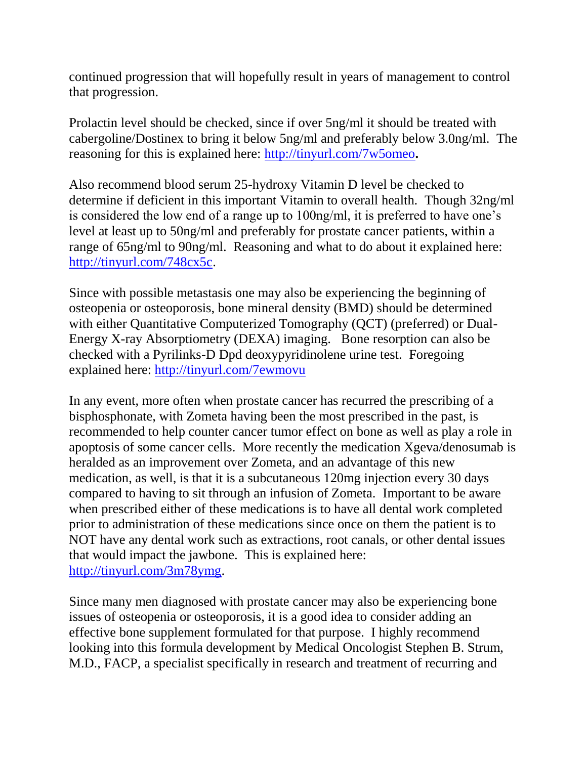continued progression that will hopefully result in years of management to control that progression.

Prolactin level should be checked, since if over 5ng/ml it should be treated with cabergoline/Dostinex to bring it below 5ng/ml and preferably below 3.0ng/ml. The reasoning for this is explained here:<http://tinyurl.com/7w5omeo>**.**

Also recommend blood serum 25-hydroxy Vitamin D level be checked to determine if deficient in this important Vitamin to overall health. Though 32ng/ml is considered the low end of a range up to 100ng/ml, it is preferred to have one's level at least up to 50ng/ml and preferably for prostate cancer patients, within a range of 65ng/ml to 90ng/ml. Reasoning and what to do about it explained here: [http://tinyurl.com/748cx5c.](http://tinyurl.com/748cx5c)

Since with possible metastasis one may also be experiencing the beginning of osteopenia or osteoporosis, bone mineral density (BMD) should be determined with either Quantitative Computerized Tomography (QCT) (preferred) or Dual-Energy X-ray Absorptiometry (DEXA) imaging. Bone resorption can also be checked with a Pyrilinks-D Dpd deoxypyridinolene urine test. Foregoing explained here:<http://tinyurl.com/7ewmovu>

In any event, more often when prostate cancer has recurred the prescribing of a bisphosphonate, with Zometa having been the most prescribed in the past, is recommended to help counter cancer tumor effect on bone as well as play a role in apoptosis of some cancer cells. More recently the medication Xgeva/denosumab is heralded as an improvement over Zometa, and an advantage of this new medication, as well, is that it is a subcutaneous 120mg injection every 30 days compared to having to sit through an infusion of Zometa. Important to be aware when prescribed either of these medications is to have all dental work completed prior to administration of these medications since once on them the patient is to NOT have any dental work such as extractions, root canals, or other dental issues that would impact the jawbone. This is explained here: [http://tinyurl.com/3m78ymg.](http://tinyurl.com/3m78ymg)

Since many men diagnosed with prostate cancer may also be experiencing bone issues of osteopenia or osteoporosis, it is a good idea to consider adding an effective bone supplement formulated for that purpose. I highly recommend looking into this formula development by Medical Oncologist Stephen B. Strum, M.D., FACP, a specialist specifically in research and treatment of recurring and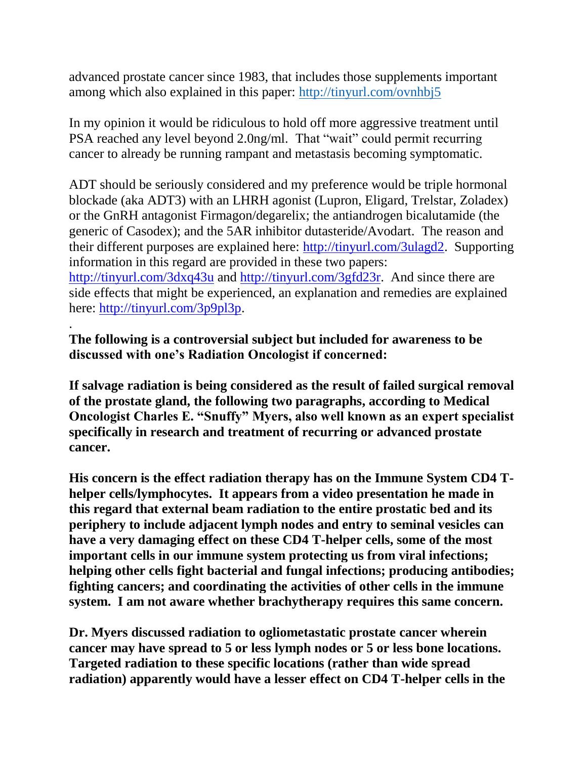advanced prostate cancer since 1983, that includes those supplements important among which also explained in this paper:<http://tinyurl.com/ovnhbj5>

In my opinion it would be ridiculous to hold off more aggressive treatment until PSA reached any level beyond 2.0ng/ml. That "wait" could permit recurring cancer to already be running rampant and metastasis becoming symptomatic.

ADT should be seriously considered and my preference would be triple hormonal blockade (aka ADT3) with an LHRH agonist (Lupron, Eligard, Trelstar, Zoladex) or the GnRH antagonist Firmagon/degarelix; the antiandrogen bicalutamide (the generic of Casodex); and the 5AR inhibitor dutasteride/Avodart. The reason and their different purposes are explained here: [http://tinyurl.com/3ulagd2.](http://tinyurl.com/3ulagd2) Supporting information in this regard are provided in these two papers:

<http://tinyurl.com/3dxq43u> and [http://tinyurl.com/3gfd23r.](http://tinyurl.com/3gfd23r) And since there are side effects that might be experienced, an explanation and remedies are explained here: [http://tinyurl.com/3p9pl3p.](http://tinyurl.com/3p9pl3p)

## **The following is a controversial subject but included for awareness to be discussed with one's Radiation Oncologist if concerned:**

.

**If salvage radiation is being considered as the result of failed surgical removal of the prostate gland, the following two paragraphs, according to Medical Oncologist Charles E. "Snuffy" Myers, also well known as an expert specialist specifically in research and treatment of recurring or advanced prostate cancer.**

**His concern is the effect radiation therapy has on the Immune System CD4 Thelper cells/lymphocytes. It appears from a video presentation he made in this regard that external beam radiation to the entire prostatic bed and its periphery to include adjacent lymph nodes and entry to seminal vesicles can have a very damaging effect on these CD4 T-helper cells, some of the most important cells in our immune system protecting us from viral infections; helping other cells fight bacterial and fungal infections; producing antibodies; fighting cancers; and coordinating the activities of other cells in the immune system. I am not aware whether brachytherapy requires this same concern.**

**Dr. Myers discussed radiation to ogliometastatic prostate cancer wherein cancer may have spread to 5 or less lymph nodes or 5 or less bone locations. Targeted radiation to these specific locations (rather than wide spread radiation) apparently would have a lesser effect on CD4 T-helper cells in the**